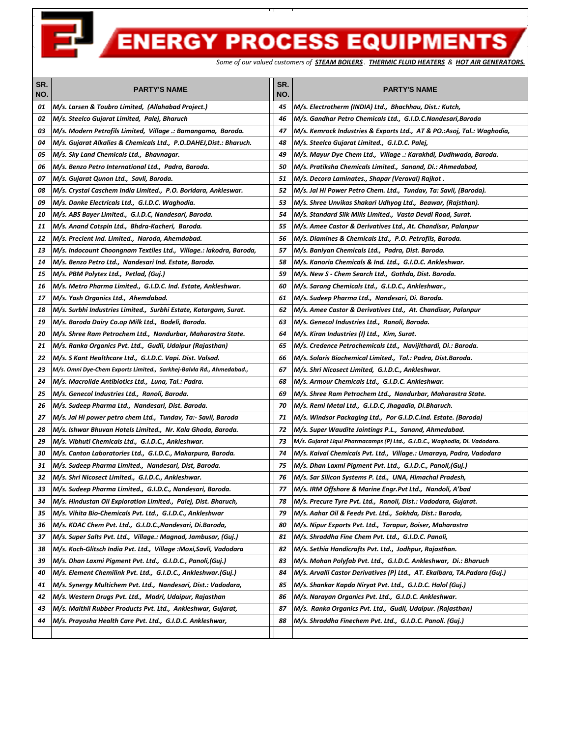E

## **ENERGY PROCESS EQUIPMENTS**

*Some of our valued customers of STEAM BOILERS . THERMIC FLUID HEATERS & HOT AIR GENERATORS.*

| SR.<br>NO. | <b>PARTY'S NAME</b>                                                  | SR.<br>NO. | <b>PARTY'S NAME</b>                                                         |
|------------|----------------------------------------------------------------------|------------|-----------------------------------------------------------------------------|
| 01         | M/s. Larsen & Toubro Limited, (Allahabad Project.)                   | 45         | M/s. Electrotherm (INDIA) Ltd., Bhachhau, Dist.: Kutch,                     |
| 02         | M/s. Steelco Gujarat Limited, Palej, Bharuch                         | 46         | M/s. Gandhar Petro Chemicals Ltd., G.I.D.C.Nandesari,Baroda                 |
| 03         | M/s. Modern Petrofils Limited, Village .: Bamangama, Baroda.         | 47         | M/s. Kemrock Industries & Exports Ltd.,  AT & PO.:Asoj, Tal.: Waghodia,     |
| 04         | M/s. Gujarat Alkalies & Chemicals Ltd., P.O.DAHEJ,Dist.: Bharuch.    | 48         | M/s. Steelco Gujarat Limited.,  G.I.D.C. Palej,                             |
| 05         | M/s. Sky Land Chemicals Ltd., Bhavnagar.                             | 49         | M/s. Mayur Dye Chem Ltd.,  Village .: Karakhdi, Dudhwada, Baroda.           |
| 06         | M/s. Benzo Petro International Ltd., Padra, Baroda.                  | 50         | M/s. Pratiksha Chemicals Limited.,  Sanand, Di.: Ahmedabad,                 |
| 07         | M/s. Gujarat Qunon Ltd., Savli, Baroda.                              | 51         | M/s. Decora Laminates., Shapar (Veraval) Rajkot.                            |
| 08         | M/s. Crystal Caschem India Limited., P.O. Boridara, Ankleswar.       | 52         | M/s. Jal Hi Power Petro Chem. Ltd., Tundav, Ta: Savli, (Baroda).            |
| 09         | M/s. Danke Electricals Ltd., G.I.D.C. Waghodia.                      | 53         | M/s. Shree Unvikas Shakari Udhyog Ltd.,  Beawar, (Rajsthan).                |
| 10         | M/s. ABS Bayer Limited., G.I.D.C, Nandesari, Baroda.                 | 54         | M/s. Standard Silk Mills Limited.,  Vasta Devdi Road, Surat.                |
| 11         | M/s. Anand Cotspin Ltd., Bhdra-Kacheri, Baroda.                      | 55         | M/s. Amee Castor & Derivatives Ltd., At. Chandisar, Palanpur                |
| 12         | M/s. Precient Ind. Limited., Naroda, Ahemdabad.                      | 56         | M/s. Diamines & Chemicals Ltd., P.O. Petrofils, Baroda.                     |
| 13         | M/s. Indocount Choongnam Textiles Ltd., Village.: lakodra, Baroda,   | 57         | M/s. Baniyan Chemicals Ltd.,  Padra, Dist. Baroda.                          |
| 14         | M/s. Benzo Petro Ltd., Nandesari Ind. Estate, Baroda.                | 58         | M/s. Kanoria Chemicals & Ind. Ltd., G.I.D.C. Ankleshwar.                    |
| 15         | M/s. PBM Polytex Ltd., Petlad, (Guj.)                                | 59         | M/s. New S - Chem Search Ltd., Gothda, Dist. Baroda.                        |
| 16         | M/s. Metro Pharma Limited., G.I.D.C. Ind. Estate, Ankleshwar.        | 60         | M/s. Sarang Chemicals Ltd., G.I.D.C., Ankleshwar.,                          |
| 17         | M/s. Yash Organics Ltd., Ahemdabad.                                  | 61         | M/s. Sudeep Pharma Ltd.,  Nandesari, Di. Baroda.                            |
| 18         | M/s. Surbhi Industries Limited., Surbhi Estate, Katargam, Surat.     | 62         | M/s. Amee Castor & Derivatives Ltd.,  At. Chandisar, Palanpur               |
| 19         | M/s. Baroda Dairy Co.op Milk Ltd., Bodeli, Baroda.                   | 63         | M/s. Genecol Industries Ltd.,  Ranoli, Baroda.                              |
| 20         | M/s. Shree Ram Petrochem Ltd., Nandurbar, Maharastra State.          | 64         | M/s. Kiran Industries (I) Ltd., Kim, Surat.                                 |
| 21         | M/s. Ranka Organics Pvt. Ltd., Gudli, Udaipur (Rajasthan)            | 65         | M/s. Credence Petrochemicals Ltd., Navijithardi, Di.: Baroda.               |
| 22         | M/s. S Kant Healthcare Ltd., G.I.D.C. Vapi. Dist. Valsad.            | 66         | M/s. Solaris Biochemical Limited., Tal.: Padra, Dist.Baroda.                |
| 23         | M/s. Omni Dye-Chem Exports Limited., Sarkhej-Balvla Rd., Ahmedabad., | 67         | M/s. Shri Nicosect Limited, G.I.D.C., Ankleshwar.                           |
| 24         | M/s. Macrolide Antibiotics Ltd., Luna, Tal.: Padra.                  | 68         | M/s. Armour Chemicals Ltd.,  G.I.D.C. Ankleshwar.                           |
| 25         | M/s. Genecol Industries Ltd., Ranoli, Baroda.                        | 69         | M/s. Shree Ram Petrochem Ltd., Nandurbar, Maharastra State.                 |
| 26         | M/s. Sudeep Pharma Ltd., Nandesari, Dist. Baroda.                    | 70         | M/s. Remi Metal Ltd.,  G.I.D.C, Jhagadia, Di.Bharuch.                       |
| 27         | M/s. Jal Hi power petro chem Ltd., Tundav, Ta:- Savli, Baroda        | 71         | M/s. Windsor Packaging Ltd., Por G.I.D.C.Ind. Estate. (Baroda)              |
| 28         | M/s. Ishwar Bhuvan Hotels Limited., Nr. Kala Ghoda, Baroda.          | 72         | M/s. Super Waudite Jointings P.L., Sanand, Ahmedabad.                       |
| 29         | M/s. Vibhuti Chemicals Ltd., G.I.D.C., Ankleshwar.                   | 73         | M/s. Gujarat Liqui Pharmacamps (P) Ltd.,  G.I.D.C., Waghodia, Di. Vadodara. |
| 30         | M/s. Canton Laboratories Ltd., G.I.D.C., Makarpura, Baroda.          | 74         | M/s. Kaival Chemicals Pvt. Ltd., Village.: Umaraya, Padra, Vadodara         |
| 31         | M/s. Sudeep Pharma Limited., Nandesari, Dist, Baroda.                | 75         | M/s. Dhan Laxmi Pigment Pvt. Ltd.,  G.I.D.C., Panoli,(Guj.)                 |
| 32         | M/s. Shri Nicosect Limited., G.I.D.C., Ankleshwar.                   | 76         | M/s. Sar Silicon Systems P. Ltd., UNA, Himachal Pradesh,                    |
| 33         | M/s. Sudeep Pharma Limited., G.I.D.C., Nandesari, Baroda.            | 77         | M/s. IRM Offshore & Marine Engr.Pvt Ltd., Nandoli, A'bad                    |
| 34         | M/s. Hindustan Oil Exploration Limited., Palej, Dist. Bharuch,       | 78         | M/s. Precure Tyre Pvt. Ltd., Ranoli, Dist.: Vadodara, Gujarat.              |
| 35         | M/s. Vihita Bio-Chemicals Pvt. Ltd., G.I.D.C., Ankleshwar            | 79         | M/s. Aahar Oil & Feeds Pvt. Ltd., Sokhda, Dist.: Baroda,                    |
| 36         | M/s. KDAC Chem Pvt. Ltd., G.I.D.C., Nandesari, Di.Baroda,            | 80         | M/s. Nipur Exports Pvt. Ltd., Tarapur, Boiser, Maharastra                   |
| 37         | M/s. Super Salts Pvt. Ltd.,  Village.: Magnad, Jambusar, (Guj.)      | 81         | M/s. Shraddha Fine Chem Pvt. Ltd.,  G.I.D.C. Panoli,                        |
| 38         | M/s. Koch-Glitsch India Pvt. Ltd.,  Village :Moxi,Savli, Vadodara    | 82         | M/s. Sethia Handicrafts Pvt. Ltd.,  Jodhpur, Rajasthan.                     |
| 39         | M/s. Dhan Laxmi Pigment Pvt. Ltd.,  G.I.D.C., Panoli,(Guj.)          | 83         | M/s. Mohan Polyfab Pvt. Ltd.,  G.I.D.C. Ankleshwar,  Di.: Bharuch           |
| 40         | M/s. Element Chemilink Pvt. Ltd., G.I.D.C., Ankleshwar.(Guj.)        | 84         | M/s. Arvalli Castor Derivatives (P) Ltd.,  AT. Ekalbara, TA.Padara (Guj.)   |
| 41         | M/s. Synergy Multichem Pvt. Ltd., Nandesari, Dist.: Vadodara,        | 85         | M/s. Shankar Kapda Niryat Pvt. Ltd.,  G.I.D.C. Halol (Guj.)                 |
| 42         | M/s. Western Drugs Pvt. Ltd., Madri, Udaipur, Rajasthan              | 86         | M/s. Narayan Organics Pvt. Ltd.,  G.I.D.C. Ankleshwar.                      |
| 43         | M/s. Maithil Rubber Products Pvt. Ltd., Ankleshwar, Gujarat,         | 87         | M/s.  Ranka Organics Pvt. Ltd.,  Gudli, Udaipur. (Rajasthan)                |
| 44         | M/s. Prayosha Health Care Pvt. Ltd., G.I.D.C. Ankleshwar,            | 88         | M/s. Shraddha Finechem Pvt. Ltd.,  G.I.D.C. Panoli. (Guj.)                  |
|            |                                                                      |            |                                                                             |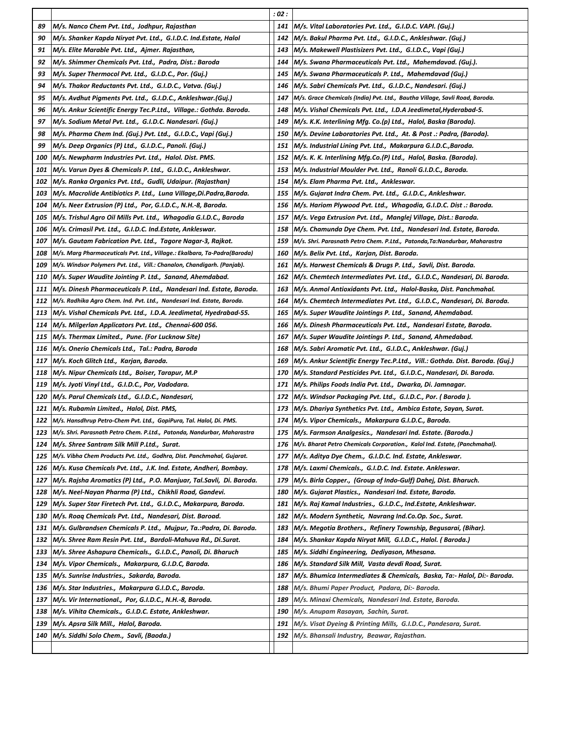|     |                                                                           | : 02 : |                                                                              |
|-----|---------------------------------------------------------------------------|--------|------------------------------------------------------------------------------|
| 89  | M/s. Nanco Chem Pvt. Ltd., Jodhpur, Rajasthan                             | 141    | M/s. Vital Laboratories Pvt. Ltd., G.I.D.C. VAPI. (Guj.)                     |
| 90  | M/s. Shanker Kapda Niryat Pvt. Ltd., G.I.D.C. Ind.Estate, Halol           | 142    | M/s. Bakul Pharma Pvt. Ltd.,  G.I.D.C., Ankleshwar. (Guj.)                   |
| 91  | M/s. Elite Marable Pvt. Ltd., Ajmer. Rajasthan,                           | 143    | M/s. Makewell Plastisizers Pvt. Ltd., G.I.D.C., Vapi (Guj.)                  |
| 92  | M/s. Shimmer Chemicals Pvt. Ltd., Padra, Dist.: Baroda                    | 144    | M/s. Swana Pharmaceuticals Pvt. Ltd., Mahemdavad. (Guj.).                    |
| 93  | M/s. Super Thermocol Pvt. Ltd., G.I.D.C., Por. (Guj.)                     | 145    | M/s. Swana Pharmaceuticals P. Ltd., Mahemdavad (Gui.)                        |
| 94  | M/s. Thakor Reductants Pvt. Ltd., G.I.D.C., Vatva. (Guj.)                 | 146    | M/s. Sabri Chemicals Pvt. Ltd., G.I.D.C., Nandesari. (Guj.)                  |
| 95  | M/s. Avdhut Pigments Pvt. Ltd., G.I.D.C., Ankleshwar.(Guj.)               | 147    | M/s. Grace Chemicals (India) Pvt. Ltd.,  Bautha Village, Savli Road, Baroda. |
| 96  | M/s. Ankur Scientific Energy Tec.P.Ltd., Village.: Gothda. Baroda.        | 148    | M/s. Vishal Chemicals Pvt. Ltd., I.D.A Jeedimetal, Hyderabad-5.              |
| 97  | M/s. Sodium Metal Pvt. Ltd., G.I.D.C. Nandesari. (Guj.)                   | 149    | M/s. K.K. Interlining Mfg. Co.(p) Ltd., Halol, Baska (Baroda).               |
| 98  | M/s. Pharma Chem Ind. (Guj.) Pvt. Ltd., G.I.D.C., Vapi (Guj.)             | 150    | M/s. Devine Laboratories Pvt. Ltd., At. & Post .: Padra, (Baroda).           |
| 99  | M/s. Deep Organics (P) Ltd., G.I.D.C., Panoli. (Guj.)                     | 151    | M/s. Industrial Lining Pvt. Ltd.,  Makarpura G.I.D.C.,Baroda.                |
| 100 | M/s. Newpharm Industries Pvt. Ltd., Halol. Dist. PMS.                     | 152    | M/s. K. K. Interlining Mfg.Co.(P) Ltd.,  Halol, Baska. (Baroda).             |
| 101 | M/s. Varun Dyes & Chemicals P. Ltd., G.I.D.C., Ankleshwar.                | 153    | M/s. Industrial Moulder Pvt. Ltd.,  Ranoli G.I.D.C., Baroda.                 |
| 102 | M/s. Ranka Organics Pvt. Ltd., Gudli, Udaipur. (Rajasthan)                | 154    | M/s. Elam Pharma Pvt. Ltd., Ankleswar.                                       |
| 103 | M/s. Macrolide Antibiotics P. Ltd., Luna Village, Di.Padra, Baroda.       | 155    | M/s. Gujarat Indra Chem. Pvt. Ltd., G.I.D.C., Ankleshwar.                    |
| 104 | M/s. Neer Extrusion (P) Ltd., Por, G.I.D.C., N.H.-8, Baroda.              | 156    | M/s. Hariom Plywood Pvt. Ltd., Whagodia, G.I.D.C. Dist .: Baroda.            |
| 105 | M/s. Trishul Agro Oil Mills Pvt. Ltd.,  Whagodia G.I.D.C., Baroda         | 157    | M/s. Vega Extrusion Pvt. Ltd., Manglej Village, Dist.: Baroda.               |
| 106 | M/s. Crimasil Pvt. Ltd.,  G.I.D.C. Ind.Estate, Ankleswar.                 | 158    | M/s. Chamunda Dye Chem. Pvt. Ltd., Nandesari Ind. Estate, Baroda.            |
| 107 | M/s. Gautam Fabrication Pvt. Ltd., Tagore Nagar-3, Rajkot.                | 159    | M/s. Shri. Parasnath Petro Chem. P.Ltd., Patonda, Ta: Nandurbar, Maharastra  |
| 108 | M/s. Marg Pharmaceuticals Pvt. Ltd., Village.: Ekalbara, Ta-Padra(Baroda) | 160    | M/s. Belix Pvt. Ltd.,  Karjan, Dist. Baroda.                                 |
| 109 | M/s. Windsor Polymers Pvt. Ltd., Vill.: Chanalon, Chandigarh. (Panjab).   | 161    | M/s. Harwest Chemicals & Drugs P. Ltd., Savli, Dist. Baroda.                 |
| 110 | M/s. Super Waudite Jointing P. Ltd., Sanand, Ahemdabad.                   | 162    | M/s. Chemtech Intermediates Pvt. Ltd., G.I.D.C., Nandesari, Di. Baroda.      |
| 111 | M/s. Dinesh Pharmaceuticals P. Ltd.,  Nandesari Ind. Estate, Baroda.      | 163    | M/s. Anmol Antioxidants Pvt. Ltd., Halol-Baska, Dist. Panchmahal.            |
| 112 | M/s. Radhika Agro Chem. Ind. Pvt. Ltd., Nandesari Ind. Estate, Baroda.    | 164    | M/s. Chemtech Intermediates Pvt. Ltd.,  G.I.D.C., Nandesari, Di. Baroda.     |
| 113 | M/s. Vishal Chemicals Pvt. Ltd.,  I.D.A. Jeedimetal, Hyedrabad-55.        | 165    | M/s. Super Waudite Jointings P. Ltd., Sanand, Ahemdabad.                     |
| 114 | M/s. Milgerlan Applicators Pvt. Ltd., Chennai-600 056.                    | 166    | M/s. Dinesh Pharmaceuticals Pvt. Ltd., Nandesari Estate, Baroda.             |
| 115 | M/s. Thermax Limited., Pune. (For Lucknow Site)                           | 167    | M/s. Super Waudite Jointings P. Ltd.,  Sanand, Ahmedabad.                    |
|     |                                                                           |        |                                                                              |
| 116 | M/s. Onerio Chemicals Ltd., Tal.: Padra, Baroda                           | 168    | M/s. Sabri Aromatic Pvt. Ltd.,  G.I.D.C., Ankleshwar. (Guj.)                 |
| 117 | M/s. Koch Glitch Ltd., Karjan, Baroda.                                    | 169    | M/s. Ankur Scientific Energy Tec.P.Ltd., Vill.: Gothda. Dist. Baroda. (Guj.) |
| 118 | M/s. Nipur Chemicals Ltd., Boiser, Tarapur, M.P                           | 170    | M/s. Standard Pesticides Pvt. Ltd.,  G.I.D.C., Nandesari, Di. Baroda.        |
| 119 | M/s. Jyoti Vinyl Ltd., G.I.D.C., Por, Vadodara.                           | 171    | M/s. Philips Foods India Pvt. Ltd., Dwarka, Di. Jamnagar.                    |
| 120 | M/s. Parul Chemicals Ltd., G.I.D.C., Nandesari,                           | 172    | M/s. Windsor Packaging Pvt. Ltd., G.I.D.C., Por. (Baroda).                   |
| 121 | M/s. Rubamin Limited., Halol, Dist. PMS,                                  | 173    | M/s. Dhariya Synthetics Pvt. Ltd., Ambica Estate, Sayan, Surat.              |
| 122 | M/s. Hansdhrup Petro-Chem Pvt. Ltd., GopiPura, Tal. Halol, Di. PMS.       | 174    | M/s. Vipor Chemicals., Makarpura G.I.D.C., Baroda.                           |
| 123 | M/s. Shri. Parasnath Petro Chem. P.Ltd., Patonda, Nandurbar, Maharastra   | 175    | M/s. Farmson Analgesics., Nandesari Ind. Estate. (Baroda.)                   |
| 124 | M/s. Shree Santram Silk Mill P.Ltd., Surat.                               | 176    | M/s. Bharat Petro Chemicals Corporation., Kalol Ind. Estate, (Panchmahal).   |
| 125 | M/s. Vibha Chem Products Pvt. Ltd., Godhra, Dist. Panchmahal, Gujarat.    | 177    | M/s. Aditya Dye Chem., G.I.D.C. Ind. Estate, Ankleswar.                      |
| 126 | M/s. Kusa Chemicals Pvt. Ltd., J.K. Ind. Estate, Andheri, Bombay.         | 178    | M/s. Laxmi Chemicals.,  G.I.D.C. Ind. Estate. Ankleswar.                     |
| 127 | M/s. Rajsha Aromatics (P) Ltd.,  P.O. Manjuar, Tal.Savli,  Di. Baroda.    | 179    | M/s. Birla Copper.,  (Group of Indo-Gulf) Dahej, Dist. Bharuch.              |
| 128 | M/s. Neel-Nayan Pharma (P) Ltd., Chikhli Road, Gandevi.                   | 180    | M/s. Gujarat Plastics.,  Nandesari Ind. Estate, Baroda.                      |
| 129 | M/s. Super Star Firetech Pvt. Ltd., G.I.D.C., Makarpura, Baroda.          | 181    | M/s. Raj Kamal Industries.,  G.I.D.C., Ind.Estate, Ankleshwar.               |
| 130 | M/s. Roaq Chemicals Pvt. Ltd., Nandesari, Dist. Baroad.                   | 182    | M/s. Modern Synthetic,  Navrang Ind.Co.Op. Soc., Surat.                      |
| 131 | M/s. Gulbrandsen Chemicals P. Ltd., Mujpur, Ta.:Padra, Di. Baroda.        | 183    | M/s. Megotia Brothers., Refinery Township, Begusarai, (Bihar).               |
| 132 | M/s. Shree Ram Resin Pvt. Ltd., Bardoli-Mahuva Rd., Di.Surat.             | 184    | M/s. Shankar Kapda Niryat Mill, G.I.D.C., Halol. ( Baroda.)                  |
| 133 | M/s. Shree Ashapura Chemicals., G.I.D.C., Panoli, Di. Bharuch             | 185    | M/s. Siddhi Engineering,  Dediyason, Mhesana.                                |
| 134 | M/s. Vipor Chemicals., Makarpura, G.I.D.C, Baroda.                        | 186    | M/s. Standard Silk Mill, Vasta devdi Road, Surat.                            |
| 135 | M/s. Sunrise Industries., Sakarda, Baroda.                                | 187    | M/s. Bhumica Intermediates & Chemicals,  Baska, Ta:- Halol, Di:- Baroda.     |
| 136 | M/s. Star Industries., Makarpura G.I.D.C., Baroda.                        | 188    | M/s. Bhumi Paper Product,  Padara, Di:- Baroda.                              |
| 137 | M/s. Vir International., Por, G.I.D.C., N.H.-8, Baroda.                   | 189    | M/s. Minaxi Chemicals, Nandesari Ind. Estate, Baroda.                        |
| 138 | M/s. Vihita Chemicals., G.I.D.C. Estate, Ankleshwar.                      | 190    | M/s. Anupam Rasayan, Sachin, Surat.                                          |
| 139 | M/s. Apsra Silk Mill., Halol, Baroda.                                     | 191    | M/s. Visat Dyeing & Printing Mills,  G.I.D.C., Pandesara, Surat.             |
| 140 | M/s. Siddhi Solo Chem.,  Savli, (Baoda.)                                  | 192    | M/s. Bhansali Industry,  Beawar, Rajasthan.                                  |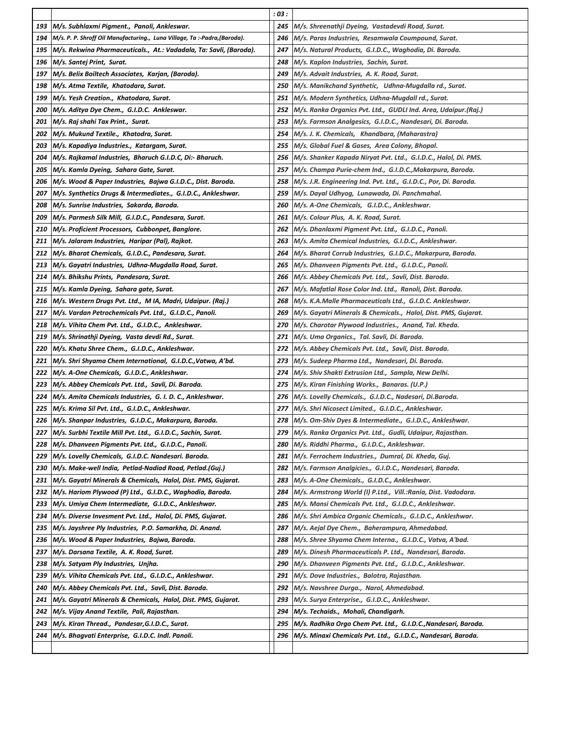|     |                                                                           | : 03 : |                                                                  |
|-----|---------------------------------------------------------------------------|--------|------------------------------------------------------------------|
| 193 | M/s. Subhlaxmi Pigment., Panoli, Ankleswar.                               | 245    | M/s. Shreenathji Dyeing, Vastadevdi Road, Surat.                 |
| 194 | M/s. P. P. Shroff Oil Manufacturing., Luna Village, Ta :-Padra, (Baroda). | 246    | M/s. Paras Industries, Resamwala Coumpound, Surat.               |
| 195 | M/s. Rekwina Pharmaceuticals., At.: Vadadala, Ta: Savli, (Baroda).        | 247    | M/s. Natural Products,  G.I.D.C., Waghodia, Di. Baroda.          |
| 196 | M/s. Santej Print, Surat.                                                 | 248    | M/s. Kaplon Industries, Sachin, Surat.                           |
| 197 | M/s. Belix Boiltech Associates, Karjan, (Baroda).                         | 249    | M/s. Advait Industries, A. K. Road, Surat.                       |
| 198 | M/s. Atma Textile, Khatodara, Surat.                                      | 250    | M/s. Manikchand Synthetic,   Udhna-Mugdalla rd., Surat.          |
| 199 | M/s. Yesh Creation., Khatodara, Surat.                                    | 251    | M/s. Modern Synthetics, Udhna-Mugdall rd., Surat.                |
| 200 | M/s. Aditya Dye Chem., G.I.D.C. Ankleswar.                                | 252    | M/s. Ranka Organics Pvt. Ltd., GUDLI Ind. Area, Udaipur.(Raj.)   |
| 201 | M/s. Raj shahi Tax Print., Surat.                                         | 253    | M/s. Farmson Analgesics, G.I.D.C., Nandesari, Di. Baroda.        |
| 202 | M/s. Mukund Textile., Khatodra, Surat.                                    | 254    | M/s. J. K. Chemicals, Khandbara, (Maharastra)                    |
| 203 | M/s. Kapadiya Industries., Katargam, Surat.                               | 255    | M/s. Global Fuel & Gases, Area Colony, Bhopal.                   |
| 204 | M/s. Rajkamal Industries, Bharuch G.I.D.C, Di:- Bharuch.                  | 256    | M/s. Shanker Kapada Niryat Pvt. Ltd.,  G.I.D.C., Halol, Di. PMS. |
| 205 | M/s. Kamla Dyeing, Sahara Gate, Surat.                                    | 257    | M/s. Champa Purie-chem Ind., G.I.D.C.,Makarpura, Baroda.         |
| 206 | M/s. Wood & Paper Industries, Bajwa G.I.D.C., Dist. Baroda.               | 258    | M/s. J.R. Engineering Ind. Pvt. Ltd., G.I.D.C., Por, Di. Baroda. |
| 207 | M/s. Synthetics Drugs & Intermediates., G.I.D.C., Ankleshwar.             | 259    | M/s. Dayal Udhyog, Lunawada, Di. Panchmahal.                     |
| 208 | M/s. Sunrise Industries, Sakarda, Baroda.                                 | 260    | M/s. A-One Chemicals, G.I.D.C., Ankleshwar.                      |
| 209 | M/s. Parmesh Silk Mill, G.I.D.C., Pandesara, Surat.                       | 261    | M/s. Colour Plus, A. K. Road, Surat.                             |
| 210 | M/s. Proficient Processors, Cubbonpet, Banglore.                          | 262    | M/s. Dhanlaxmi Pigment Pvt. Ltd., G.I.D.C., Panoli.              |
| 211 | M/s. Jalaram Industries, Haripar (Pal), Rajkot.                           | 263    | M/s. Amita Chemical Industries, G.I.D.C., Ankleshwar.            |
| 212 | M/s. Bharat Chemicals, G.I.D.C., Pandesara, Surat.                        | 264    | M/s. Bharat Corrub Industries, G.I.D.C., Makarpura, Baroda.      |
| 213 | M/s. Gayatri Industries, Udhna-Mugdalla Road, Surat.                      | 265    | M/s. Dhanveen Pigments Pvt. Ltd., G.I.D.C., Panoli.              |
| 214 | M/s. Bhikshu Prints, Pandesara, Surat.                                    | 266    | M/s. Abbey Chemicals Pvt. Ltd., Savli, Dist. Baroda.             |
| 215 | M/s. Kamla Dyeing, Sahara gate, Surat.                                    | 267    | M/s. Mafatlal Rose Color Ind. Ltd.,  Ranoli, Dist. Baroda.       |
| 216 | M/s. Western Drugs Pvt. Ltd., M IA, Madri, Udaipur. (Raj.)                | 268    | M/s. K.A.Malle Pharmaceuticals Ltd., G.I.D.C. Ankleshwar.        |
| 217 | M/s. Vardan Petrochemicals Pvt. Ltd., G.I.D.C., Panoli.                   | 269    | M/s. Gayatri Minerals & Chemicals., Halol, Dist. PMS, Gujarat.   |
| 218 | M/s. Vihita Chem Pvt. Ltd., G.I.D.C., Ankleshwar.                         | 270    | M/s. Charotar Plywood Industries., Anand, Tal. Kheda.            |
| 219 | M/s. Shrinathji Dyeing, Vasta devdi Rd., Surat.                           | 271    | M/s. Uma Organics., Tal. Savli, Di. Baroda.                      |
| 220 | M/s. Khatu Shree Chem., G.I.D.C., Ankleshwar.                             | 272    | M/s. Abbey Chemicals Pvt. Ltd., Savli, Dist. Baroda.             |
| 221 | M/s. Shri Shyama Chem International, G.I.D.C., Vatwa, A'bd.               | 273    | M/s. Sudeep Pharma Ltd., Nandesari, Di. Baroda.                  |
| 222 | M/s. A-One Chemicals, G.I.D.C., Ankleshwar.                               | 274    | M/s. Shiv Shakti Extrusion Ltd., Sampla, New Delhi.              |
| 223 | M/s. Abbey Chemicals Pvt. Ltd., Savli, Di. Baroda.                        | 275    | M/s. Kiran Finishing Works., Banaras. (U.P.)                     |
| 224 | M/s. Amita Chemicals Industries, G. I. D. C., Ankleshwar.                 | 276    | M/s. Lovelly Chemicals., G.I.D.C., Nadesari, Di.Baroda.          |
| 225 | M/s. Krima Sil Pvt. Ltd.,  G.I.D.C., Ankleshwar.                          | 277    | M/s. Shri Nicosect Limited., G.I.D.C., Ankleshwar.               |
| 226 | M/s. Shanpar Industries, G.I.D.C., Makarpura, Baroda.                     | 278    | M/s. Om-Shiv Dyes & Intermediate., G.I.D.C., Ankleshwar.         |
| 227 | M/s. Surbhi Textile Mill Pvt. Ltd., G.I.D.C., Sachin, Surat.              | 279    | M/s. Ranka Organics Pvt. Ltd., Gudli, Udaipur, Rajasthan.        |
| 228 | M/s. Dhanveen Pigments Pvt. Ltd., G.I.D.C., Panoli.                       | 280    | M/s. Riddhi Pharma.,  G.I.D.C., Ankleshwar.                      |
| 229 | M/s. Lovelly Chemicals, G.I.D.C. Nandesari. Baroda.                       | 281    | M/s. Ferrochem Industries., Dumral, Di. Kheda, Guj.              |
| 230 | M/s. Make-well India, Petlad-Nadiad Road, Petlad.(Guj.)                   | 282    | M/s. Farmson Analgicies.,  G.I.D.C., Nandesari, Baroda.          |
| 231 | M/s. Gayatri Minerals & Chemicals, Halol, Dist. PMS, Gujarat.             | 283    | M/s. A-One Chemicals.,  G.I.D.C., Ankleshwar.                    |
| 232 | M/s. Hariom Plywood (P) Ltd.,  G.I.D.C., Waghodia, Baroda.                | 284    | M/s. Armstrong World (I) P.Ltd.,  Vill.:Rania, Dist. Vadodara.   |
| 233 | M/s. Umiya Chem Intermediate,  G.I.D.C., Ankleshwar.                      | 285    | M/s. Mansi Chemicals Pvt. Ltd.,  G.I.D.C., Ankleshwar.           |
| 234 | M/s. Diverse Invesment Pvt. Ltd., Halol, Di. PMS, Gujarat.                | 286    | M/s. Shri Ambica Organic Chemicals.,  G.I.D.C., Ankleshwar.      |
| 235 | M/s. Jayshree Ply Industries, P.O. Samarkha, Di. Anand.                   | 287    | M/s. Aejal Dye Chem., Baherampura, Ahmedabad.                    |
| 236 | M/s. Wood & Paper Industries, Bajwa, Baroda.                              | 288    | M/s. Shree Shyama Chem Interna.,  G.I.D.C., Vatva, A'bad.        |
| 237 | M/s. Darsana Textile, A. K. Road, Surat.                                  | 289    | M/s. Dinesh Pharmaceuticals P. Ltd.,  Nandesari, Baroda.         |
| 238 | M/s. Satyam Ply Industries, Unjha.                                        | 290    | M/s. Dhanveen Pigments Pvt. Ltd.,  G.I.D.C., Ankleshwar.         |
| 239 | M/s. Vihita Chemicals Pvt. Ltd.,  G.I.D.C., Ankleshwar.                   | 291    | M/s. Dove Industries.,  Balotra, Rajasthan.                      |
| 240 | M/s. Abbey Chemicals Pvt. Ltd., Savli, Dist. Baroda.                      | 292    | M/s. Navshree Durga.,  Narol, Ahmedabad.                         |
| 241 | M/s. Gayatri Minerals & Chemicals, Halol, Dist. PMS, Gujarat.             | 293    | M/s. Surya Enterprise.,  G.I.D.C., Ankleshwar.                   |
| 242 | M/s. Vijay Anand Textile, Pali, Rajasthan.                                | 294    | M/s. Techaids., Mohali, Chandigarh.                              |
| 243 | M/s. Kiran Thread., Pandesar, G.I.D.C., Surat.                            | 295    | M/s. Radhika Orgo Chem Pvt. Ltd., G.I.D.C.,Nandesari, Baroda.    |
| 244 | M/s. Bhagvati Enterprise, G.I.D.C. Indl. Panoli.                          | 296    | M/s. Minaxi Chemicals Pvt. Ltd.,  G.I.D.C., Nandesari, Baroda.   |
|     |                                                                           |        |                                                                  |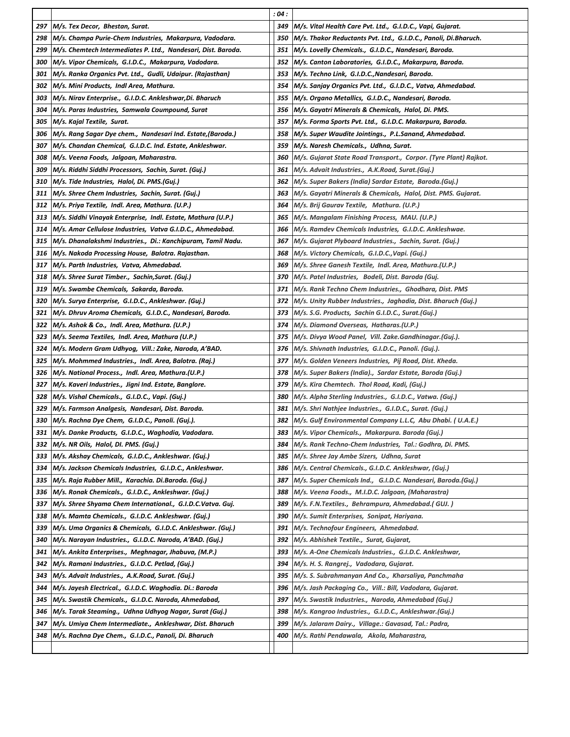|            |                                                                                                                    | :04:       |                                                                                                   |
|------------|--------------------------------------------------------------------------------------------------------------------|------------|---------------------------------------------------------------------------------------------------|
| 297        | M/s. Tex Decor, Bhestan, Surat.                                                                                    | 349        | M/s. Vital Health Care Pvt. Ltd., G.I.D.C., Vapi, Gujarat.                                        |
| 298        | M/s. Champa Purie-Chem Industries, Makarpura, Vadodara.                                                            | 350        | M/s. Thakor Reductants Pvt. Ltd., G.I.D.C., Panoli, Di.Bharuch.                                   |
| 299        | M/s. Chemtech Intermediates P. Ltd., Nandesari, Dist. Baroda.                                                      | 351        | M/s. Lovelly Chemicals., G.I.D.C., Nandesari, Baroda.                                             |
| 300        | M/s. Vipor Chemicals, G.I.D.C., Makarpura, Vadodara.                                                               | 352        | M/s. Canton Laboratories, G.I.D.C., Makarpura, Baroda.                                            |
| 301        | M/s. Ranka Organics Pvt. Ltd.,  Gudli, Udaipur. (Rajasthan)                                                        | 353        | M/s. Techno Link, G.I.D.C., Nandesari, Baroda.                                                    |
| 302        | M/s. Mini Products, Indl Area, Mathura.                                                                            | 354        | M/s. Sanjay Organics Pvt. Ltd., G.I.D.C., Vatva, Ahmedabad.                                       |
| 303        | M/s. Nirav Enterprise., G.I.D.C. Ankleshwar,Di. Bharuch                                                            | 355        | M/s. Organo Metallics,  G.I.D.C., Nandesari, Baroda.                                              |
| 304        | M/s. Paras Industries, Samwala Coumpound, Surat                                                                    | 356        | M/s. Gayatri Minerals & Chemicals, Halol, Di. PMS.                                                |
| 305        | M/s. Kajal Textile, Surat.                                                                                         | 357        | M/s. Forma Sports Pvt. Ltd.,  G.I.D.C. Makarpura, Baroda.                                         |
| 306        | M/s. Rang Sagar Dye chem., Nandesari Ind. Estate,(Baroda.)                                                         | 358        | M/s. Super Waudite Jointings., P.L.Sanand, Ahmedabad.                                             |
| 307        | M/s. Chandan Chemical, G.I.D.C. Ind. Estate, Ankleshwar.                                                           | 359        | M/s. Naresh Chemicals., Udhna, Surat.                                                             |
| 308        | M/s. Veena Foods, Jalgoan, Maharastra.                                                                             | 360        | M/s. Gujarat State Road Transport., Corpor. (Tyre Plant) Rajkot.                                  |
| 309        | M/s. Riddhi Siddhi Processors, Sachin, Surat. (Guj.)                                                               | 361        | M/s. Advait Industries., A.K.Road, Surat.(Guj.)                                                   |
| 310        | M/s. Tide Industries, Halol, Di. PMS.(Guj.)                                                                        | 362        | M/s. Super Bakers (India) Sardar Estate, Baroda.(Guj.)                                            |
| 311        | M/s. Shree Chem Industries, Sachin, Surat. (Guj.)                                                                  | 363        | M/s. Gayatri Minerals & Chemicals, Halol, Dist. PMS. Gujarat.                                     |
| 312        | M/s. Priya Textile, Indl. Area, Mathura. (U.P.)                                                                    | 364        | M/s. Brij Gaurav Textile, Mathura. (U.P.)                                                         |
| 313        | M/s. Siddhi Vinayak Enterprise, Indl. Estate, Mathura (U.P.)                                                       | 365        | M/s. Mangalam Finishing Process, MAU. (U.P.)                                                      |
| 314        | M/s. Amar Cellulose Industries, Vatva G.I.D.C., Ahmedabad.                                                         | 366        | M/s. Ramdev Chemicals Industries, G.I.D.C. Ankleshwae.                                            |
| 315        | M/s. Dhanalakshmi Industries.,  Di.: Kanchipuram, Tamil Nadu.                                                      | 367        | M/s. Gujarat Plyboard Industries., Sachin, Surat. (Guj.)                                          |
| 316        | M/s. Nakoda Processing House, Balotra. Rajasthan.                                                                  | 368        | M/s. Victory Chemicals, G.I.D.C., Vapi. (Guj.)                                                    |
| 317        | M/s. Parth Industries, Vatva, Ahmedabad.                                                                           | 369        | M/s. Shree Ganesh Textile, Indl. Area, Mathura.(U.P.)                                             |
| 318        | M/s. Shree Surat Timber., Sachin,Surat. (Guj.)                                                                     | 370        | M/s. Patel Industries, Bodeli, Dist. Baroda (Guj.                                                 |
| 319        | M/s. Swambe Chemicals, Sakarda, Baroda.                                                                            | 371        | M/s. Rank Techno Chem Industries.,  Ghodhara, Dist. PMS                                           |
| 320        | M/s. Surya Enterprise, G.I.D.C., Ankleshwar. (Guj.)                                                                | 372        | M/s. Unity Rubber Industries.,  Jaghadia, Dist. Bharuch (Guj.)                                    |
| 321        | M/s. Dhruv Aroma Chemicals, G.I.D.C., Nandesari, Baroda.                                                           | 373        | M/s. S.G. Products, Sachin G.I.D.C., Surat.(Guj.)                                                 |
| 322        | M/s. Ashok & Co., Indl. Area, Mathura. (U.P.)                                                                      | 374        | M/s. Diamond Overseas, Hatharas.(U.P.)                                                            |
| 323        | M/s. Seema Textiles, Indl. Area, Mathura (U.P.)                                                                    | 375        | M/s. Divya Wood Panel, Vill. Zake.Gandhinagar.(Guj.).                                             |
| 324        | M/s. Modern Gram Udhyog, Vill.: Zake, Naroda, A'BAD.                                                               | 376        | M/s. Shivnath Industries, G.I.D.C., Panoli. (Guj.).                                               |
| 325        | M/s. Mohmmed Industries., Indl. Area, Balotra. (Raj.)                                                              | 377        | M/s. Golden Veneers Industries, Pij Road, Dist. Kheda.                                            |
| 326        | M/s. National Process., Indl. Area, Mathura.(U.P.)                                                                 | 378        | M/s. Super Bakers (India)., Sardar Estate, Baroda (Guj.)                                          |
| 327        | M/s. Kaveri Industries., Jigni Ind. Estate, Banglore.                                                              | 379        | M/s. Kira Chemtech. Thol Road, Kadi, (Guj.)                                                       |
| 328        | M/s. Vishal Chemicals., G.I.D.C., Vapi. (Guj.)                                                                     | 380        | M/s. Alpha Sterling Industries., G.I.D.C., Vatwa. (Guj.)                                          |
| 329        | M/s. Farmson Analgesis, Nandesari, Dist. Baroda.                                                                   | 381        | M/s. Shri Nathjee Industries., G.I.D.C., Surat. (Guj.)                                            |
| 330        | M/s. Rachna Dye Chem, G.I.D.C., Panoli. (Guj.).                                                                    | 382        | M/s. Gulf Environmental Company L.L.C, Abu Dhabi. (U.A.E.)                                        |
| 331        | M/s. Danke Products, G.I.D.C., Waghodia, Vadodara.                                                                 | 383        | M/s. Vipor Chemicals., Makarpura. Baroda (Guj.)                                                   |
| 332        | M/s. NR Oils, Halol, DI. PMS. (Guj.)                                                                               | 384        | M/s. Rank Techno-Chem Industries, Tal.: Godhra, Di. PMS.                                          |
| 333        | M/s. Akshay Chemicals,  G.I.D.C., Ankleshwar. (Guj.)                                                               | 385        | M/s. Shree Jay Ambe Sizers,  Udhna, Surat                                                         |
| 334        | M/s. Jackson Chemicals Industries,  G.I.D.C., Ankleshwar.                                                          | 386        | M/s. Central Chemicals., G.I.D.C. Ankleshwar, (Guj.)                                              |
| 335        | M/s. Raja Rubber Mill.,  Karachia. Di.Baroda. (Guj.)                                                               | 387        | M/s. Super Chemicals Ind.,   G.I.D.C. Nandesari, Baroda.(Guj.)                                    |
| 336        | M/s. Ronak Chemicals.,  G.I.D.C., Ankleshwar. (Guj.)                                                               | 388        | M/s. Veena Foods.,  M.I.D.C. Jalgoan, (Maharastra)                                                |
| 337        | M/s. Shree Shyama Chem International., G.I.D.C.Vatva. Guj.                                                         | 389        | M/s. F.N.Textiles.,  Behrampura, Ahmedabad.( GUJ. )                                               |
| 338        | M/s. Mamta Chemicals.,  G.I.D.C. Ankleshwar. (Guj.)                                                                | 390        | M/s. Sumit Enterprises,  Sonipat, Hariyana.                                                       |
| 339        | M/s. Uma Organics & Chemicals, G.I.D.C. Ankleshwar. (Guj.)                                                         | 391        | M/s. Technofour Engineers, Ahmedabad.                                                             |
| 340        | M/s. Narayan Industries.,  G.I.D.C. Naroda, A'BAD. (Guj.)                                                          | 392        | M/s. Abhishek Textile.,  Surat, Gujarat,                                                          |
| 341<br>342 | M/s. Ankita Enterprises.,  Meghnagar, Jhabuva, (M.P.)                                                              | 393        | M/s. A-One Chemicals Industries.,  G.I.D.C. Ankleshwar,                                           |
|            | M/s. Ramani Industries.,  G.I.D.C. Petlad, (Guj.)                                                                  | 394        | M/s. H. S. Rangrej.,  Vadodara, Gujarat.                                                          |
| 343<br>344 | M/s. Advait Industries., A.K.Road, Surat. (Guj.)                                                                   | 395        | M/s. S. Subrahmanyan And Co., Kharsaliya, Panchmaha                                               |
|            | M/s. Jayesh Electrical.,  G.I.D.C. Waghodia. Di.: Baroda                                                           | 396        | M/s. Jash Packaging Co.,  Vill.: Bill, Vadodara, Gujarat.                                         |
| 345        | M/s. Swastik Chemicals.,  G.I.D.C. Naroda, Ahmedabad,                                                              | 397        | M/s. Swastik Industries.,  Naroda, Ahmedabad (Guj.)                                               |
| 346<br>347 | M/s. Tarak Steaming.,  Udhna Udhyog Nagar, Surat (Guj.)                                                            | 398<br>399 | M/s. Kangroo Industries.,  G.I.D.C., Ankleshwar.(Guj.)                                            |
| 348        | M/s. Umiya Chem Intermediate.,  Ankleshwar, Dist. Bharuch<br>M/s. Rachna Dye Chem.,  G.I.D.C., Panoli, Di. Bharuch | 400        | M/s. Jalaram Dairy.,  Village.: Gavasad, Tal.: Padra,<br>M/s. Rathi Pendawala, Akola, Maharastra, |
|            |                                                                                                                    |            |                                                                                                   |
|            |                                                                                                                    |            |                                                                                                   |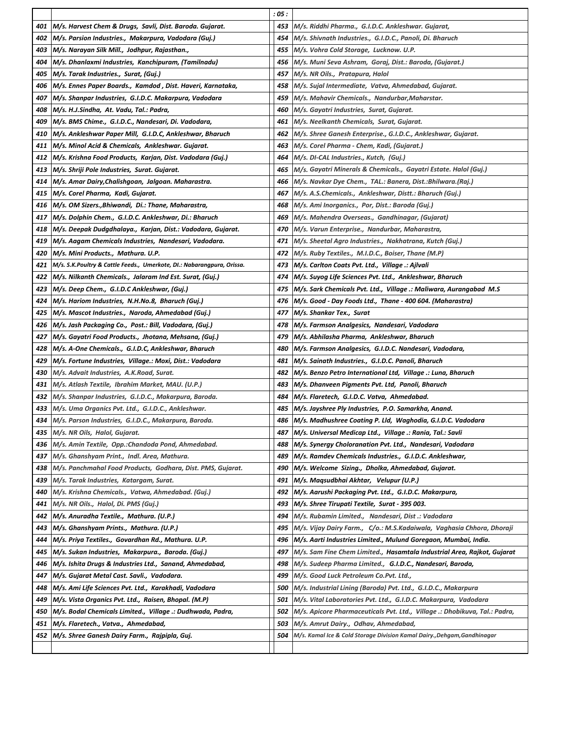|     |                                                                        | : 05 : |                                                                             |
|-----|------------------------------------------------------------------------|--------|-----------------------------------------------------------------------------|
| 401 | M/s. Harvest Chem & Drugs, Savli, Dist. Baroda. Gujarat.               | 453    | M/s. Riddhi Pharma., G.I.D.C. Ankleshwar. Gujarat,                          |
| 402 | M/s. Parsion Industries., Makarpura, Vadodara (Guj.)                   | 454    | M/s. Shivnath Industries., G.I.D.C., Panoli, Di. Bharuch                    |
| 403 | M/s. Narayan Silk Mill., Jodhpur, Rajasthan.,                          | 455    | M/s. Vohra Cold Storage, Lucknow. U.P.                                      |
| 404 | M/s. Dhanlaxmi Industries, Kanchipuram, (Tamilnadu)                    | 456    | M/s. Muni Seva Ashram, Goraj, Dist.: Baroda, (Gujarat.)                     |
| 405 | M/s. Tarak Industries., Surat, (Guj.)                                  | 457    | M/s. NR Oils., Pratapura, Halol                                             |
| 406 | M/s. Ennes Paper Boards.,  Kamdod , Dist. Haveri, Karnataka,           | 458    | M/s. Sujal Intermediate, Vatva, Ahmedabad, Gujarat.                         |
| 407 | M/s. Shanpar Industries, G.I.D.C. Makarpura, Vadodara                  | 459    | M/s. Mahavir Chemicals., Nandurbar,Maharstar.                               |
| 408 | M/s. H.J.Sindha, At. Vadu, Tal.: Padra,                                | 460    | M/s. Gayatri Industries, Surat, Gujarat.                                    |
| 409 | M/s. BMS Chime., G.I.D.C., Nandesari, Di. Vadodara,                    | 461    | M/s. Neelkanth Chemicals, Surat, Gujarat.                                   |
| 410 | M/s. Ankleshwar Paper Mill, G.I.D.C, Ankleshwar, Bharuch               | 462    | M/s. Shree Ganesh Enterprise., G.I.D.C., Ankleshwar, Gujarat.               |
| 411 | M/s. Minol Acid & Chemicals, Ankleshwar. Gujarat.                      | 463    | M/s. Corel Pharma - Chem, Kadi, (Gujarat.)                                  |
| 412 | M/s. Krishna Food Products,  Karjan, Dist. Vadodara (Guj.)             | 464    | M/s. DI-CAL Industries., Kutch,  (Guj.)                                     |
| 413 | M/s. Shriji Pole Industries, Surat. Gujarat.                           | 465    | M/s. Gayatri Minerals & Chemicals.,  Gayatri Estate. Halol (Guj.)           |
| 414 | M/s. Amar Dairy, Chalishgoan, Jalgoan. Maharastra.                     | 466    | M/s. Navkar Dye Chem., TAL.: Banera, Dist.:Bhilwara.(Raj.)                  |
| 415 | M/s. Corel Pharma, Kadi, Gujarat.                                      | 467    | M/s. A.S.Chemicals., Ankleshwar, Distt.: Bharuch (Guj.)                     |
| 416 | M/s. OM Sizers., Bhiwandi, Di.: Thane, Maharastra,                     | 468    | M/s. Ami Inorganics.,  Por, Dist.: Baroda (Guj.)                            |
| 417 | M/s. Dolphin Chem., G.I.D.C. Ankleshwar, Di.: Bharuch                  | 469    | M/s. Mahendra Overseas., Gandhinagar, (Gujarat)                             |
| 418 | M/s. Deepak Dudgdhalaya.,  Karjan, Dist.: Vadodara, Gujarat.           | 470    | M/s. Varun Enterprise., Nandurbar, Maharastra,                              |
| 419 | M/s. Aagam Chemicals Industries, Nandesari, Vadodara.                  | 471    | M/s. Sheetal Agro Industries.,  Nakhatrana, Kutch (Guj.)                    |
| 420 | M/s. Mini Products., Mathura. U.P.                                     | 472    | M/s. Ruby Textiles.,  M.I.D.C., Boiser, Thane (M.P)                         |
| 421 | M/s. S.K.Poultry & Cattle Feeds., Umerkote, DI.: Nabarangpura, Orissa. | 473    | M/s. Carlton Coats Pvt. Ltd., Village .: Ajlvali                            |
| 422 | M/s. Nilkanth Chemicals., Jalaram Ind Est. Surat, (Guj.)               | 474    | M/s. Suyog Life Sciences Pvt. Ltd., Ankleshwar, Bharuch                     |
| 423 | M/s. Deep Chem., G.I.D.C Ankleshwar, (Guj.)                            | 475    | M/s. Sark Chemicals Pvt. Ltd., Village .: Maliwara, Aurangabad M.S          |
| 424 | M/s. Hariom Industries, N.H.No.8, Bharuch (Guj.)                       | 476    | M/s. Good - Day Foods Ltd., Thane - 400 604. (Maharastra)                   |
| 425 | M/s. Mascot Industries., Naroda, Ahmedabad (Guj.)                      | 477    | M/s. Shankar Tex.,  Surat                                                   |
| 426 | M/s. Jash Packaging Co.,  Post.: Bill, Vadodara, (Guj.)                | 478    | M/s. Farmson Analgesics, Nandesari, Vadodara                                |
| 427 | M/s. Gayatri Food Products.,  Jhotana, Mehsana, (Guj.)                 | 479    | M/s. Abhilasha Pharma,  Ankleshwar, Bharuch                                 |
| 428 | M/s. A-One Chemicals., G.I.D.C, Ankleshwar, Bharuch                    | 480    | M/s. Farmson Analgesics,  G.I.D.C. Nandesari, Vadodara,                     |
| 429 | M/s. Fortune Industries, Village.: Moxi, Dist.: Vadodara               | 481    | M/s. Sainath Industries., G.I.D.C. Panoli, Bharuch                          |
| 430 | M/s. Advait Industries, A.K.Road, Surat.                               | 482    | M/s. Benzo Petro International Ltd, Village .: Luna, Bharuch                |
| 431 | M/s. Atlash Textile, Ibrahim Market, MAU. (U.P.)                       | 483    | M/s. Dhanveen Pigments Pvt. Ltd, Panoli, Bharuch                            |
| 432 | M/s. Shanpar Industries, G.I.D.C., Makarpura, Baroda.                  | 484    | M/s. Flaretech, G.I.D.C. Vatva, Ahmedabad.                                  |
| 433 | M/s. Uma Organics Pvt. Ltd., G.I.D.C., Ankleshwar.                     | 485    | M/s. Jayshree Ply Industries, P.O. Samarkha, Anand.                         |
| 434 | M/s. Parson Industries, G.I.D.C., Makarpura, Baroda.                   | 486    | M/s. Madhushree Coating P. Lld, Waghodia, G.I.D.C. Vadodara                 |
| 435 | M/s. NR Oils, Halol, Gujarat.                                          | 487    | M/s. Universal Medicap Ltd., Village .: Rania, Tal.: Savli                  |
| 436 | M/s. Amin Textile, Opp.: Chandoda Pond, Ahmedabad.                     | 488    | M/s. Synergy Choloranation Pvt. Ltd., Nandesari, Vadodara                   |
| 437 | M/s. Ghanshyam Print., Indl. Area, Mathura.                            | 489    | M/s. Ramdev Chemicals Industries., G.I.D.C. Ankleshwar,                     |
| 438 | M/s. Panchmahal Food Products, Godhara, Dist. PMS, Gujarat.            | 490    | M/s. Welcome Sizing., Dholka, Ahmedabad, Gujarat.                           |
| 439 | M/s. Tarak Industries, Katargam, Surat.                                | 491    | M/s. Maqsudbhai Akhtar,   Velupur (U.P.)                                    |
| 440 | M/s. Krishna Chemicals., Vatwa, Ahmedabad. (Guj.)                      | 492    | M/s. Aarushi Packaging Pvt. Ltd.,  G.I.D.C. Makarpura,                      |
| 441 | M/s. NR Oils.,  Halol, Di. PMS (Guj.)                                  | 493    | M/s. Shree Tirupati Textile,  Surat - 395 003.                              |
| 442 | M/s. Anuradha Textile.,  Mathura. (U.P.)                               | 494    | M/s. Rubamin Limited.,   Nandesari, Dist .: Vadodara                        |
| 443 | M/s. Ghanshyam Prints.,  Mathura. (U.P.)                               | 495    | M/s. Vijay Dairy Farm.,   C/o.: M.S.Kadaiwala,  Vaghasia Chhora, Dhoraji    |
| 444 | M/s. Priya Textiles.,  Govardhan Rd., Mathura. U.P.                    | 496    | M/s. Aarti Industries Limited., Mulund Goregaon, Mumbai, India.             |
| 445 | M/s. Sukan Industries, Makarpura., Baroda. (Guj.)                      | 497    | M/s. Sam Fine Chem Limited.,  Hasamtala Industrial Area, Rajkot, Gujarat    |
| 446 | M/s. Ishita Drugs & Industries Ltd.,  Sanand, Ahmedabad,               | 498    | M/s. Sudeep Pharma Limited.,   G.I.D.C., Nandesari, Baroda,                 |
| 447 | M/s. Gujarat Metal Cast. Savli., Vadodara.                             | 499    | M/s. Good Luck Petroleum Co.Pvt. Ltd.,                                      |
| 448 | M/s. Ami Life Sciences Pvt. Ltd.,  Karakhadi, Vadodara                 | 500    | M/s. Industrial Lining (Baroda) Pvt. Ltd.,  G.I.D.C., Makarpura             |
| 449 | M/s. Vista Organics Pvt. Ltd., Raisen, Bhopal. (M.P)                   | 501    | M/s. Vital Laboratories Pvt. Ltd.,  G.I.D.C. Makarpura,  Vadodara           |
| 450 | M/s. Bodal Chemicals Limited., Village .: Dudhwada, Padra,             | 502    | M/s. Apicore Pharmaceuticals Pvt. Ltd.,  Village .: Dhobikuva, Tal.: Padra, |
| 451 | M/s. Flaretech., Vatva., Ahmedabad,                                    | 503    | M/s. Amrut Dairy., Odhav, Ahmedabad,                                        |
| 452 | M/s. Shree Ganesh Dairy Farm., Rajpipla, Guj.                          | 504    | M/s. Kamal Ice & Cold Storage Division Kamal Dairy.,Dehgam,Gandhinagar      |
|     |                                                                        |        |                                                                             |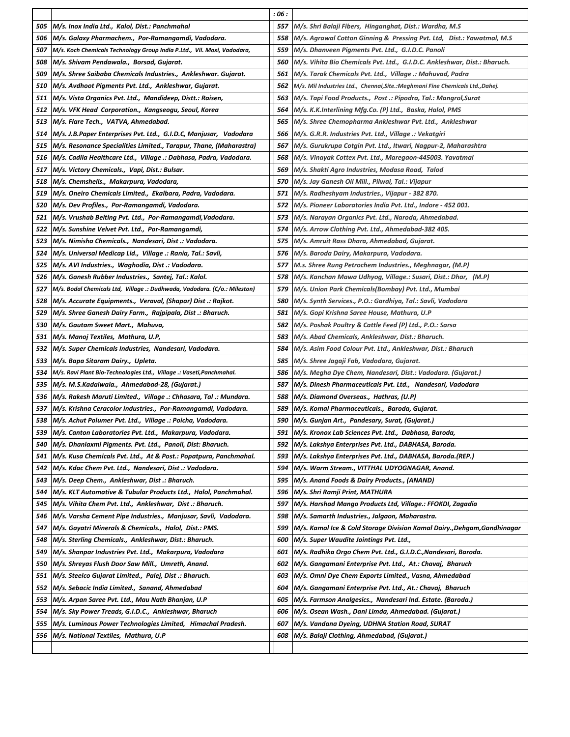|                   |                                                                            | : 06 : |                                                                              |
|-------------------|----------------------------------------------------------------------------|--------|------------------------------------------------------------------------------|
| 505               | M/s. Inox India Ltd., Kalol, Dist.: Panchmahal                             | 557    | M/s. Shri Balaji Fibers,  Hinganghat, Dist.: Wardha, M.S                     |
| 506               | M/s. Galaxy Pharmachem., Por-Ramangamdi, Vadodara.                         | 558    | M/s. Agrawal Cotton Ginning & Pressing Pvt. Ltd, Dist.: Yawatmal, M.S        |
| 507               | M/s. Koch Chemicals Technology Group India P.Ltd., Vil. Moxi, Vadodara,    | 559    | M/s. Dhanveen Pigments Pvt. Ltd.,  G.I.D.C. Panoli                           |
| 508               | M/s. Shivam Pendawala.,  Borsad, Gujarat.                                  | 560    | M/s. Vihita Bio Chemicals Pvt. Ltd.,  G.I.D.C. Ankleshwar, Dist.: Bharuch.   |
| 509               | M/s. Shree Saibaba Chemicals Industries., Ankleshwar. Gujarat.             | 561    | M/s. Tarak Chemicals Pvt. Ltd.,  Village .: Mahuvad, Padra                   |
| <i><b>510</b></i> | M/s. Avdhoot Pigments Pvt. Ltd., Ankleshwar, Gujarat.                      | 562    | M/s. Mil Industries Ltd.,  Chennai,Site.:Meghmani Fine Chemicals Ltd.,Dahej. |
| 511               | M/s. Vista Organics Pvt. Ltd., Mandideep, Distt.: Raisen,                  | 563    | M/s. Tapi Food Products., Post .: Pipodra, Tal.: Mangrol,Surat               |
| 512               | M/s. VFK Head Corporation., Kangseogu, Seoul, Korea                        | 564    | M/s. K.K.Interlining Mfg.Co. (P) Ltd., Baska, Halol, PMS                     |
| 513               | M/s. Flare Tech., VATVA, Ahmedabad.                                        | 565    | M/s. Shree Chemopharma Ankleshwar Pvt. Ltd., Ankleshwar                      |
| 514               | M/s. J.B.Paper Enterprises Pvt. Ltd.,  G.I.D.C, Manjusar,   Vadodara       | 566    | M/s. G.R.R. Industries Pvt. Ltd., Village .: Vekatgiri                       |
| 515               | M/s. Resonance Specialities Limited., Tarapur, Thane, (Maharastra)         | 567    | M/s. Gurukrupa Cotgin Pvt. Ltd., Itwari, Nagpur-2, Maharashtra               |
| 516               | M/s. Cadila Healthcare Ltd., Village .: Dabhasa, Padra, Vadodara.          | 568    | M/s. Vinayak Cottex Pvt. Ltd., Maregaon-445003. Yavatmal                     |
| 517               | M/s. Victory Chemicals., Vapi, Dist.: Bulsar.                              | 569    | M/s. Shakti Agro Industries, Modasa Road, Talod                              |
| 518               | M/s. Chemshells., Makarpura, Vadodara,                                     | 570    | M/s. Jay Ganesh Oil Mill., Pilwai, Tal.: Vijapur                             |
| 519               | M/s. Oneiro Chemicals Limited., Ekalbara, Padra, Vadodara.                 | 571    | M/s. Radheshyam Industries., Vijapur - 382 870.                              |
| 520               | M/s. Dev Profiles., Por-Ramangamdi, Vadodara.                              | 572    | M/s. Pioneer Laboratories India Pvt. Ltd., Indore - 452 001.                 |
| 521               | M/s. Vrushab Belting Pvt. Ltd., Por-Ramangamdi,Vadodara.                   | 573    | M/s. Narayan Organics Pvt. Ltd., Naroda, Ahmedabad.                          |
| 522               | M/s. Sunshine Velvet Pvt. Ltd., Por-Ramangamdi,                            | 574    | M/s. Arrow Clothing Pvt. Ltd., Ahmedabad-382 405.                            |
| 523               | M/s. Nimisha Chemicals., Nandesari, Dist .: Vadodara.                      | 575    | M/s. Amruit Rass Dhara, Ahmedabad, Gujarat.                                  |
| 524               | M/s. Universal Medicap Lid., Village .: Rania, Tal.: Savli,                | 576    | M/s. Baroda Dairy, Makarpura, Vadodara.                                      |
| 525               | M/s. AVI Industries., Waghodia, Dist .: Vadodara.                          | 577    | M.s. Shree Rung Petrochem Industries., Meghnagar, (M.P)                      |
| 526               | M/s. Ganesh Rubber Industries., Santej, Tal.: Kalol.                       | 578    | M/s. Kanchan Mawa Udhyog, Village.: Susari, Dist.: Dhar, (M.P)               |
| 527               | M/s. Bodal Chemicals Ltd,  Village .: Dudhwada, Vadodara. (C/o.: Mileston) | 579    | M/s. Union Park Chemicals(Bombay) Pvt. Ltd., Mumbai                          |
| 528               | M/s. Accurate Equipments., Veraval, (Shapar) Dist .: Rajkot.               | 580    | M/s. Synth Services., P.O.: Gardhiya, Tal.: Savli, Vadodara                  |
| 529               | M/s. Shree Ganesh Dairy Farm., Rajpipala, Dist .: Bharuch.                 | 581    | M/s. Gopi Krishna Saree House, Mathura, U.P                                  |
| 530               | M/s. Gautam Sweet Mart., Mahuva,                                           | 582    | M/s. Poshak Poultry & Cattle Feed (P) Ltd., P.O.: Sarsa                      |
| 531               | M/s. Manoj Textiles, Mathura, U.P,                                         | 583    | M/s. Abad Chemicals, Ankleshwar, Dist.: Bharuch.                             |
| 532               | M/s. Super Chemicals Industries, Nandesari, Vadodara.                      | 584    | M/s. Asim Food Colour Pvt. Ltd., Ankleshwar, Dist.: Bharuch                  |
| 533               | M/s. Bapa Sitaram Dairy., Upleta.                                          | 585    | M/s. Shree Jagaji Fab, Vadodara, Gujarat.                                    |
| 534               | M/s. Ravi Plant Bio-Technologies Ltd., Village .: Vaseti, Panchmahal.      | 586    | M/s. Megha Dye Chem, Nandesari, Dist.: Vadodara. (Gujarat.)                  |
| 535               | M/s. M.S.Kadaiwala., Ahmedabad-28, (Gujarat.)                              | 587    | M/s. Dinesh Pharmaceuticals Pvt. Ltd.,   Nandesari, Vadodara                 |
| 536               | M/s. Rakesh Maruti Limited., Village .: Chhasara, Tal .: Mundara.          | 588    | M/s. Diamond Overseas., Hathras, (U.P)                                       |
| 537               | M/s. Krishna Ceracolor Industries.,  Por-Ramangamdi, Vadodara.             | 589    | M/s. Komal Pharmaceuticals., Baroda, Gujarat.                                |
| 538               | M/s. Achut Polumer Pvt. Ltd., Village .: Poicha, Vadodara.                 | 590    | M/s. Gunjan Art., Pandesary, Surat, (Gujarat.)                               |
| 539               | M/s. Canton Laboratories Pvt. Ltd., Makarpura, Vadodara.                   | 591    | M/s. Kronox Lab Sciences Pvt. Ltd., Dabhasa, Baroda,                         |
| 540               | M/s. Dhanlaxmi Pigments. Pvt. Ltd., Panoli, Dist: Bharuch.                 | 592    | M/s. Lakshya Enterprises Pvt. Ltd., DABHASA, Baroda.                         |
| 541               | M/s. Kusa Chemicals Pvt. Ltd., At & Post.: Popatpura, Panchmahal.          | 593    | M/s. Lakshya Enterprises Pvt. Ltd., DABHASA, Baroda.(REP.)                   |
| 542               | M/s. Kdac Chem Pvt. Ltd., Nandesari, Dist .: Vadodara.                     | 594    | M/s. Warm Stream., VITTHAL UDYOGNAGAR, Anand.                                |
| 543               | M/s. Deep Chem., Ankleshwar, Dist .: Bharuch.                              | 595    | M/s. Anand Foods & Dairy Products., (ANAND)                                  |
| 544               | M/s. KLT Automative & Tubular Products Ltd.,  Halol, Panchmahal.           | 596    | M/s. Shri Ramji Print, MATHURA                                               |
| 545               | M/s. Vihita Chem Pvt. Ltd.,  Ankleshwar,  Dist .: Bharuch.                 | 597    | M/s. Harshad Mango Products Ltd, Village.: FFOKDI, Zagadia                   |
| 546               | M/s. Varsha Cement Pipe Industries., Manjusar, Savli, Vadodara.            | 598    | M/s. Samarth Industries., Jalgaon, Maharastra.                               |
| 547               | M/s. Gayatri Minerals & Chemicals., Halol, Dist.: PMS.                     | 599    | M/s. Kamal Ice & Cold Storage Division Kamal Dairy.,Dehgam,Gandhinagar       |
| 548               | M/s. Sterling Chemicals., Ankleshwar, Dist.: Bharuch.                      | 600    | M/s. Super Waudite Jointings Pvt. Ltd.,                                      |
| 549               | M/s. Shanpar Industries Pvt. Ltd., Makarpura, Vadodara                     | 601    | M/s. Radhika Orgo Chem Pvt. Ltd., G.I.D.C.,Nandesari, Baroda.                |
| 550               | M/s. Shreyas Flush Door Saw Mill., Umreth, Anand.                          | 602    | M/s. Gangamani Enterprise Pvt. Ltd.,  At.: Chavaj,  Bharuch                  |
| 551               | M/s. Steelco Gujarat Limited., Palej, Dist .: Bharuch.                     | 603    | M/s. Omni Dye Chem Exports Limited., Vasna, Ahmedabad                        |
| 552               | M/s. Sebacic India Limited.,  Sanand, Ahmedabad                            | 604    | M/s. Gangamani Enterprise Pvt. Ltd., At.: Chavaj,  Bharuch                   |
| 553               | M/s. Arpan Saree Pvt. Ltd., Mau Nath Bhanjan, U.P                          | 605    | M/s. Farmson Analgesics.,  Nandesari Ind. Estate. (Baroda.)                  |
| 554               | M/s. Sky Power Treads, G.I.D.C., Ankleshwar, Bharuch                       | 606    | M/s. Osean Wash., Dani Limda, Ahmedabad. (Gujarat.)                          |
| 555               | M/s. Luminous Power Technologies Limited, Himachal Pradesh.                | 607    | M/s. Vandana Dyeing, UDHNA Station Road, SURAT                               |
| 556               | M/s. National Textiles, Mathura, U.P                                       | 608    | M/s. Balaji Clothing, Ahmedabad, (Gujarat.)                                  |
|                   |                                                                            |        |                                                                              |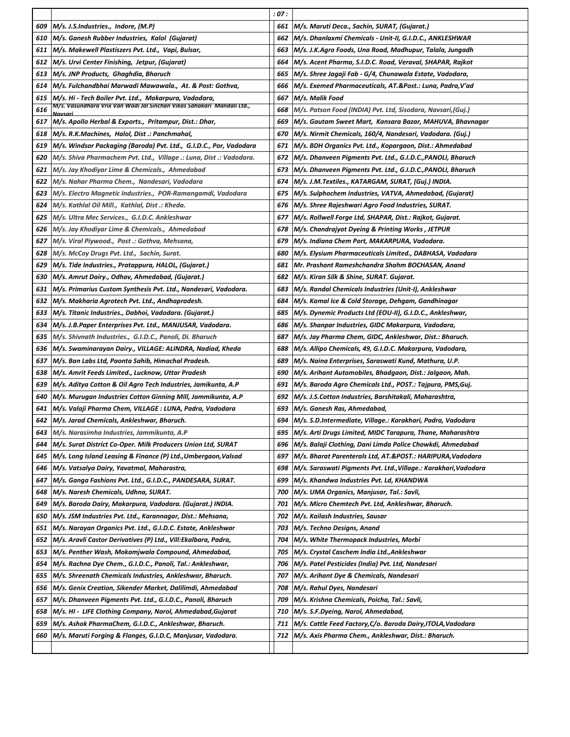|            |                                                                                                                         | : 07 :     |                                                                                       |
|------------|-------------------------------------------------------------------------------------------------------------------------|------------|---------------------------------------------------------------------------------------|
| 609        | M/s. J.S.Industries., Indore, (M.P)                                                                                     | 661        | M/s. Maruti Deca., Sachin, SURAT, (Gujarat.)                                          |
| 610        | M/s. Ganesh Rubber Industries, Kalol (Gujarat)                                                                          | 662        | M/s. Dhanlaxmi Chemicals - Unit-II, G.I.D.C., ANKLESHWAR                              |
| 611        | M/s. Makewell Plastiszers Pvt. Ltd., Vapi, Bulsar,                                                                      | 663        | M/s. J.K.Agro Foods, Una Road, Madhupur, Talala, Jungadh                              |
| 612        | M/s. Urvi Center Finishing, Jetpur, (Gujarat)                                                                           | 664        | M/s. Acent Pharma, S.I.D.C. Road, Veraval, SHAPAR, Rajkot                             |
| 613        | M/s. JNP Products, Ghaghdia, Bharuch                                                                                    | 665        | M/s. Shree Jagaji Fab - G/4, Chunawala Estate, Vadodara,                              |
| 614        | M/s. Fulchandbhai Marwadi Mawawala.,  At. & Post: Gothva,                                                               | 666        | M/s. Exemed Pharmaceuticals, AT.&Post.: Luna, Padra,V'ad                              |
| 615        | M/s. Hi - Tech Boiler Pvt. Ltd., Makarpura, Vadodara,                                                                   | 667        | M/s. Malik Food                                                                       |
| 616        | M/s. Vasundhara Vrix Van Wadi Jal Sinchan Vikas Sahakari  Mandali Ltd.,<br>Navsari                                      | 668        | M/s. Patson Food (INDIA) Pvt. Ltd, Sisodara, Navsari,(Guj.)                           |
|            | 617   M/s. Apollo Herbal & Exports., Pritampur, Dist.: Dhar,                                                            | 669        | M/s. Gautam Sweet Mart, Kansara Bazar, MAHUVA, Bhavnagar                              |
| 618        | M/s. R.K.Machines, Halol, Dist .: Panchmahal,                                                                           | 670        | M/s. Nirmit Chemicals, 160/4, Nandesari, Vadodara. (Guj.)                             |
| 619        | M/s. Windsor Packaging (Baroda) Pvt. Ltd.,  G.I.D.C., Por, Vadodara                                                     | 671        | M/s. BDH Organics Pvt. Ltd., Kopargaon, Dist.: Ahmedabad                              |
| 620        | M/s. Shiva Pharmachem Pvt. Ltd., Village .: Luna, Dist .: Vadodara.                                                     | 672        | M/s. Dhanveen Pigments Pvt. Ltd., G.I.D.C., PANOLI, Bharuch                           |
| 621        | M/s. Jay Khodiyar Lime & Chemicals., Ahmedabad                                                                          | 673        | M/s. Dhanveen Pigments Pvt. Ltd., G.I.D.C.,PANOLI, Bharuch                            |
| 622        | M/s. Nahar Pharma Chem., Nandesari, Vadodara                                                                            | 674        | M/s. J.M.Textiles., KATARGAM, SURAT, (Guj.) INDIA.                                    |
| 623        | M/s. Electro Magnetic Industries.,  POR-Ramangamdi, Vadodara                                                            | 675        | M/s. Sulphochem Industries, VATVA, Ahmedabad, (Gujarat)                               |
| 624        | M/s. Kathlal Oil Mill.,  Kathlal, Dist .: Kheda.                                                                        | 676        | M/s. Shree Rajeshwari Agro Food Industries, SURAT.                                    |
| 625        | M/s. Ultra Mec Services., G.I.D.C. Ankleshwar                                                                           | 677        | M/s. Rollwell Forge Ltd, SHAPAR, Dist.: Rajkot, Gujarat.                              |
| 626        | M/s. Jay Khodiyar Lime & Chemicals., Ahmedabad                                                                          | 678        | M/s. Chandrajyot Dyeing & Printing Works , JETPUR                                     |
| 627        | M/s. Viral Piywood., Post .: Gothva, Mehsana,                                                                           | 679        | M/s. Indiana Chem Port, MAKARPURA, Vadodara.                                          |
| 628        | M/s. McCoy Drugs Pvt. Ltd., Sachin, Surat.                                                                              | 680        | M/s. Elysium Pharmaceuticals Limited., DABHASA, Vadodara                              |
| 629        | M/s. Tide Industries., Pratappura, HALOL, (Gujarat.)                                                                    | 681        | Mr. Prashant Rameshchandra Shahm BOCHASAN, Anand                                      |
| 630        | M/s. Amrut Dairy., Odhav, Ahmedabad, (Gujarat.)                                                                         | 682        | M/s. Kiran Silk & Shine, SURAT. Gujarat.                                              |
| 631        | M/s. Primarius Custom Synthesis Pvt. Ltd., Nandesari, Vadodara.                                                         | 683        | M/s. Randal Chemicals Industries (Unit-I), Ankleshwar                                 |
| 632        | M/s. Makharia Agrotech Pvt. Ltd., Andhapradesh.                                                                         | 684        | M/s. Kamal Ice & Cold Storage, Dehgam, Gandhinagar                                    |
| 633        | M/s. Titanic Industries., Dabhoi, Vadodara. (Gujarat.)                                                                  | 685        | M/s. Dynemic Products Ltd (EOU-II), G.I.D.C., Ankleshwar,                             |
| 634        | M/s. J.B.Paper Enterprises Pvt. Ltd., MANJUSAR, Vadodara.                                                               | 686        | M/s. Shanpar Industries, GIDC Makarpura, Vadodara,                                    |
| 635        | M/s. Shivnath Industries., G.I.D.C., Panoli, Di. Bharuch                                                                | 687        | M/s. Jay Pharma Chem, GIDC, Ankleshwar, Dist.: Bharuch.                               |
| 636        | M/s. Swaminarayan Dairy., VILLAGE: ALINDRA, Nadiad, Kheda                                                               | 688        | M/s. Allipo Chemicals, 49, G.I.D.C. Makarpura, Vadodara,                              |
| 637        | M/s. Ban Labs Ltd, Paonta Sahib, Himachal Pradesh.                                                                      | 689        | M/s. Naina Enterprises, Saraswati Kund, Mathura, U.P.                                 |
| 638        | M/s. Amrit Feeds Limited., Lucknow, Uttar Pradesh                                                                       | 690        | M/s. Arihant Automobiles, Bhadgaon, Dist.: Jalgaon, Mah.                              |
| 639        | M/s. Aditya Cotton & Oil Agro Tech Industries, Jamikunta, A.P                                                           | 691        | M/s. Baroda Agro Chemicals Ltd., POST.: Tajpura, PMS,Guj.                             |
| 640        | M/s. Murugan Industries Cotton Ginning Mill, Jammikunta, A.P                                                            | 692        | M/s. J.S.Cotton Industries, Barshitakali, Maharashtra,                                |
| 641        | M/s. Valaji Pharma Chem, VILLAGE : LUNA, Padra, Vadodara                                                                | 693        | M/s. Ganesh Ras, Ahmedabad,                                                           |
|            | 642 M/s. Jarad Chemicals, Ankleshwar, Bharuch.                                                                          | 694        | M/s. S.D.Intermediate, Village.: Karakhari, Padra, Vadodara                           |
| 643        | M/s. Narasimha Industries, Jammikunta, A.P                                                                              | 695        | M/s. Arti Drugs Limited, MIDC Tarapura, Thane, Maharashtra                            |
| 644        | M/s. Surat District Co-Oper. Milk Producers Union Ltd, SURAT                                                            | 696        | M/s. Balaji Clothing, Dani Limda Police Chowkdi, Ahmedabad                            |
| 645        | M/s. Long Island Leasing & Finance (P) Ltd.,Umbergaon,Valsad                                                            | 697        | M/s. Bharat Parenterals Ltd, AT.&POST.: HARIPURA,Vadodara                             |
| 646        | M/s. Vatsalya Dairy, Yavatmal, Maharastra,                                                                              | 698        | M/s. Saraswati Pigments Pvt. Ltd.,Village.: Karakhari,Vadodara                        |
| 647        | M/s. Ganga Fashions Pvt. Ltd., G.I.D.C., PANDESARA, SURAT.                                                              | 699        | M/s. Khandwa Industries Pvt. Ld, KHANDWA                                              |
| 648<br>649 | M/s. Naresh Chemicals, Udhna, SURAT.                                                                                    | 700        | M/s. UMA Organics, Manjusar, Tal.: Savli,                                             |
| 650        | M/s. Baroda Dairy, Makarpura, Vadodara. (Gujarat.) INDIA.<br>M/s. JSM Industries Pvt. Ltd., Karannagar, Dist.: Mehsana, | 701<br>702 | M/s. Micro Chemtech Pvt. Ltd, Ankleshwar, Bharuch.<br>M/s. Kailash Industries, Sausar |
| 651        | M/s. Narayan Organics Pvt. Ltd., G.I.D.C. Estate, Ankleshwar                                                            | 703        | M/s. Techno Designs, Anand                                                            |
| 652        | M/s. Aravli Castor Derivatives (P) Ltd., Vill:Ekalbara, Padra,                                                          | 704        | M/s. White Thermopack Industries, Morbi                                               |
| 653        | M/s. Penther Wash, Mokamjwala Compound, Ahmedabad,                                                                      | 705        | M/s. Crystal Caschem India Ltd.,Ankleshwar                                            |
| 654        | M/s. Rachna Dye Chem., G.I.D.C., Panoli, Tal.: Ankleshwar,                                                              | 706        | M/s. Patel Pesticides (India) Pvt. Ltd, Nandesari                                     |
| 655        | M/s. Shreenath Chemicals Industries, Ankleshwar, Bharuch.                                                               | 707        | M/s. Arihant Dye & Chemicals, Nandesari                                               |
| 656        | M/s. Genix Creation, Sikender Market, Dalilimdi, Ahmedabad                                                              | 708        | M/s. Rahul Dyes, Nandesari                                                            |
| 657        | M/s. Dhanveen Pigments Pvt. Ltd., G.I.D.C., Panoli, Bharuch                                                             | 709        | M/s. Krishna Chemicals, Poicha, Tal.: Savli,                                          |
| 658        | M/s. HI - LIFE Clothing Company, Narol, Ahmedabad,Gujarat                                                               | 710        | M/s. S.F.Dyeing, Narol, Ahmedabad,                                                    |
| 659        | M/s. Ashok PharmaChem, G.I.D.C., Ankleshwar, Bharuch.                                                                   | 711        | M/s. Cattle Feed Factory,C/o. Baroda Dairy,ITOLA,Vadodara                             |
| 660        | M/s. Maruti Forging & Flanges, G.I.D.C, Manjusar, Vadodara.                                                             | 712        | M/s. Axis Pharma Chem., Ankleshwar, Dist.: Bharuch.                                   |
|            |                                                                                                                         |            |                                                                                       |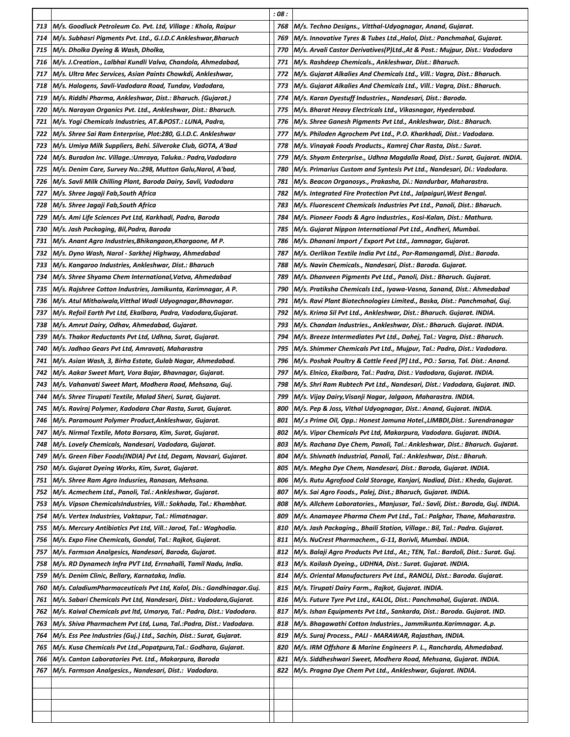|     |                                                                      | : 08 : |                                                                                 |
|-----|----------------------------------------------------------------------|--------|---------------------------------------------------------------------------------|
| 713 | M/s. Goodluck Petroleum Co. Pvt. Ltd, Village : Khola, Raipur        | 768    | M/s. Techno Designs., Vitthal-Udyognagar, Anand, Gujarat.                       |
| 714 | M/s. Subhasri Pigments Pvt. Ltd., G.I.D.C Ankleshwar,Bharuch         | 769    | M/s. Innovative Tyres & Tubes Ltd.,Halol, Dist.: Panchmahal, Gujarat.           |
| 715 | M/s. Dholka Dyeing & Wash, Dholka,                                   | 770    | M/s. Arvali Castor Derivatives(P)Ltd.,At & Post.: Mujpur, Dist.: Vadodara       |
| 716 | M/s. J.Creation., Lalbhai Kundli Valva, Chandola, Ahmedabad,         | 771    | M/s. Rashdeep Chemicals., Ankleshwar, Dist.: Bharuch.                           |
| 717 | M/s. Ultra Mec Services, Asian Paints Chowkdi, Ankleshwar,           | 772    | M/s. Gujarat Alkalies And Chemicals Ltd., Vill.: Vagra, Dist.: Bharuch.         |
| 718 | M/s. Halogens, Savli-Vadodara Road, Tundav, Vadodara,                | 773    | M/s. Gujarat Alkalies And Chemicals Ltd., Vill.: Vagra, Dist.: Bharuch.         |
| 719 | M/s. Riddhi Pharma, Ankleshwar, Dist.: Bharuch. (Gujarat.)           | 774    | M/s. Karan Dyestuff Industries., Nandesari, Dist.: Baroda.                      |
| 720 | M/s. Narayan Organics Pvt. Ltd., Ankleshwar, Dist.: Bharuch.         | 775    | M/s. Bharat Heavy Electricals Ltd., Vikasnagar, Hyederabad.                     |
| 721 | M/s. Yogi Chemicals Industries, AT.&POST.: LUNA, Padra,              | 776    | M/s. Shree Ganesh Pigments Pvt Ltd., Ankleshwar, Dist.: Bharuch.                |
| 722 | M/s. Shree Sai Ram Enterprise, Plot:280, G.I.D.C. Ankleshwar         | 777    | M/s. Philoden Agrochem Pvt Ltd., P.O. Kharkhadi, Dist.: Vadodara.               |
| 723 | M/s. Umiya Milk Suppliers, Behi. Silveroke Club, GOTA, A'Bad         | 778    | M/s. Vinayak Foods Products., Kamrej Char Rasta, Dist.: Surat.                  |
| 724 | M/s. Buradon Inc. Village.:Umraya, Taluka.: Padra,Vadodara           | 779    | M/s. Shyam Enterprise., Udhna Magdalla Road, Dist.: Surat, Gujarat. INDIA.      |
| 725 | M/s. Denim Care, Survey No.:298, Mutton Galu,Narol, A'bad,           | 780    | M/s. Primarius Custom and Syntesis Pvt Ltd., Nandesari, Di.: Vadodara.          |
| 726 | M/s. Savli Milk Chilling Plant, Baroda Dairy, Savli, Vadodara        | 781    | M/s. Beacon Organosys., Prakasha, Di.: Nandurbar, Maharastra.                   |
| 727 | M/s. Shree Jagaji Fab,South Africa                                   | 782    | M/s. Integrated Fire Protection Pvt Ltd., Jalpaiguri, West Bengal.              |
| 728 | M/s. Shree Jagaji Fab,South Africa                                   | 783    | M/s. Fluorescent Chemicals Industries Pvt Ltd., Panoli, Dist.: Bharuch.         |
| 729 | M/s. Ami Life Sciences Pvt Ltd, Karkhadi, Padra, Baroda              | 784    | M/s. Pioneer Foods & Agro Industries., Kosi-Kalan, Dist.: Mathura.              |
| 730 | M/s. Jash Packaging, Bil,Padra, Baroda                               | 785    | M/s. Gujarat Nippon International Pvt Ltd., Andheri, Mumbai.                    |
| 731 | M/s. Anant Agro Industries,Bhikangaon,Khargaone, M P.                | 786    | M/s. Dhanani Import / Export Pvt Ltd., Jamnagar, Gujarat.                       |
| 732 | M/s. Dyno Wash, Narol - Sarkhej Highway, Ahmedabad                   | 787    | M/s. Oerlikon Textile India Pvt Ltd., Por-Ramangamdi, Dist.: Baroda.            |
| 733 | M/s. Kangaroo Industries, Ankleshwar, Dist.: Bharuch                 | 788    | M/s. Navin Chemicals., Nandesari, Dist.: Baroda. Gujarat.                       |
| 734 | M/s. Shree Shyama Chem International,Vatva, Ahmedabad                | 789    | M/s. Dhanveen Pigments Pvt Ltd., Panoli, Dist.: Bharuch. Gujarat.               |
| 735 | M/s. Rajshree Cotton Industries, Jamikunta, Karimnagar, A P.         | 790    | M/s. Pratiksha Chemicals Ltd., Iyawa-Vasna, Sanand, Dist.: Ahmedabad            |
| 736 | M/s. Atul Mithaiwala,Vitthal Wadi Udyognagar,Bhavnagar.              | 791    | M/s. Ravi Plant Biotechnologies Limited., Baska, Dist.: Panchmahal, Guj.        |
| 737 | M/s. Refoil Earth Pvt Ltd, Ekalbara, Padra, Vadodara,Gujarat.        | 792    | M/s. Krima Sil Pvt Ltd., Ankleshwar, Dist.: Bharuch. Gujarat. INDIA.            |
| 738 | M/s. Amrut Dairy, Odhav, Ahmedabad, Gujarat.                         | 793    | M/s. Chandan Industries., Ankleshwar, Dist.: Bharuch. Gujarat. INDIA.           |
| 739 | M/s. Thakor Reductants Pvt Ltd, Udhna, Surat, Gujarat.               | 794    | M/s. Breeze Intermediates Pvt Ltd., Dahej, Tal.: Vagra, Dist.: Bharuch.         |
| 740 | M/s. Jadhao Gears Pvt Ltd, Amravati, Maharastra                      | 795    | M/s. Shimmer Chemicals Pvt Ltd., Mujpur, Tal.: Padra, Dist.: Vadodara.          |
| 741 | M/s. Asian Wash, 3, Birha Estate, Gulab Nagar, Ahmedabad.            | 796    | M/s. Poshak Poultry & Cattle Feed [P] Ltd., PO.: Sarsa, Tal. Dist.: Anand.      |
| 742 | M/s. Aakar Sweet Mart, Vora Bajar, Bhavnagar, Gujarat.               | 797    | M/s. Elnico, Ekalbara, Tal.: Padra, Dist.: Vadodara, Gujarat. INDIA.            |
| 743 | M/s. Vahanvati Sweet Mart, Modhera Road, Mehsana, Guj.               | 798    | M/s. Shri Ram Rubtech Pvt Ltd., Nandesari, Dist.: Vadodara, Gujarat. IND.       |
| 744 | M/s. Shree Tirupati Textile, Malad Sheri, Surat, Gujarat.            | 799    | M/s. Vijay Dairy, Visanji Nagar, Jalgaon, Maharastra. INDIA.                    |
| 745 | M/s. Raviraj Polymer, Kadodara Char Rasta, Surat, Gujarat.           | 800    | M/s. Pep & Joss, Vithal Udyognagar, Dist.: Anand, Gujarat. INDIA.               |
| 746 | M/s. Paramount Polymer Product, Ankleshwar, Gujarat.                 | 801    | M/.s Prime Oil, Opp.: Honest Jamuna Hotel.,LIMBDI,Dist.: Surendranagar          |
| 747 | M/s. Nirmal Textile, Mota Borsara, Kim, Surat, Gujarat.              | 802    | M/s. Vipor Chemicals Pvt Ltd, Makarpura, Vadodara. Gujarat. INDIA.              |
| 748 | M/s. Lovely Chemicals, Nandesari, Vadodara, Gujarat.                 | 803    | M/s. Rachana Dye Chem, Panoli, Tal.: Ankleshwar, Dist.: Bharuch. Gujarat.       |
| 749 | M/s. Green Fiber Foods(INDIA) Pvt Ltd, Degam, Navsari, Gujarat.      | 804    | M/s. Shivnath Industrial, Panoli, Tal.: Ankleshwar, Dist.: Bharuh.              |
| 750 | M/s. Gujarat Dyeing Works, Kim, Surat, Gujarat.                      | 805    | M/s. Megha Dye Chem, Nandesari, Dist.: Baroda, Gujarat. INDIA.                  |
| 751 | M/s. Shree Ram Agro Indusries, Ranasan, Mehsana.                     | 806    | M/s. Rutu Agrofood Cold Storage, Kanjari, Nadiad, Dist.: Kheda, Gujarat.        |
| 752 | M/s. Acmechem Ltd., Panoli, Tal.: Ankleshwar, Gujarat.               | 807    | M/s. Sai Agro Foods., Palej, Dist.; Bharuch, Gujarat. INDIA.                    |
| 753 | M/s. Vipson ChemicalsIndustries, Vill.: Sokhada, Tal.: Khambhat.     | 808    | M/s. Allchem Laboratories., Manjusar, Tal.: Savli, Dist.: Baroda, Guj. INDIA.   |
| 754 | M/s. Vertex Industries, Vaktapur, Tal.: Himatnagar.                  | 809    | M/s. Anamayee Pharma Chem Pvt Ltd., Tal.: Palghar, Thane, Maharastra.           |
| 755 | M/s. Mercury Antibiotics Pvt Ltd, Vill.: Jarod, Tal.: Waghodia.      | 810    | M/s. Jash Packaging., Bhaili Station, Village.: Bil, Tal.: Padra. Gujarat.      |
| 756 | M/s. Expo Fine Chemicals, Gondal, Tal.: Rajkot, Gujarat.             | 811    | M/s. NuCrest Pharmachem., G-11, Borivli, Mumbai. INDIA.                         |
| 757 | M/s. Farmson Analgesics, Nandesari, Baroda, Gujarat.                 | 812    | M/s. Balaji Agro Products Pvt Ltd., At.; TEN, Tal.: Bardoli, Dist.: Surat. Guj. |
| 758 | M/s. RD Dynamech Infra PVT Ltd, Errnahalli, Tamil Nadu, India.       | 813    | M/s. Kailash Dyeing., UDHNA, Dist.: Surat. Gujarat. INDIA.                      |
| 759 | M/s. Denim Clinic, Bellary, Karnataka, India.                        | 814    | M/s. Oriental Manufacturers Pvt Ltd., RANOLI, Dist.: Baroda. Gujarat.           |
| 760 | M/s. CaladiumPharmaceuticals Pvt Ltd, Kalol, Dis.: Gandhinagar.Guj.  | 815    | M/s. Tirupati Dairy Farm., Rajkot, Gujarat. INDIA.                              |
| 761 | M/s. Sabari Chemicals Pvt Ltd, Nandesari, Dist.: Vadodara,Gujarat.   | 816    | M/s. Future Tyre Pvt Ltd., KALOL, Dist.: Panchmahal, Gujarat. INDIA.            |
| 762 | M/s. Kaival Chemicals pvt ltd, Umarya, Tal.: Padra, Dist.: Vadodara. | 817    | M/s. Ishan Equipments Pvt Ltd., Sankarda, Dist.: Baroda. Gujarat. IND.          |
| 763 | M/s. Shiva Pharmachem Pvt Ltd, Luna, Tal.:Padra, Dist.: Vadodara.    | 818    | M/s. Bhagawathi Cotton Industries., Jammikunta.Karimnagar. A.p.                 |
| 764 | M/s. Ess Pee Industries (Guj.) Ltd., Sachin, Dist.: Surat, Gujarat.  | 819    | M/s. Suraj Process., PALI - MARAWAR, Rajasthan, INDIA.                          |
| 765 | M/s. Kusa Chemicals Pvt Ltd.,Popatpura,Tal.: Godhara, Gujarat.       | 820    | M/s. IRM Offshore & Marine Engineers P. L., Rancharda, Ahmedabad.               |
| 766 | M/s. Canton Laboratories Pvt. Ltd., Makarpura, Baroda                | 821    | M/s. Siddheshwari Sweet, Modhera Road, Mehsana, Gujarat. INDIA.                 |
| 767 | M/s. Farmson Analgesics., Nandesari, Dist.: Vadodara.                | 822    | M/s. Pragna Dye Chem Pvt Ltd., Ankleshwar, Gujarat. INDIA.                      |
|     |                                                                      |        |                                                                                 |
|     |                                                                      |        |                                                                                 |
|     |                                                                      |        |                                                                                 |
|     |                                                                      |        |                                                                                 |